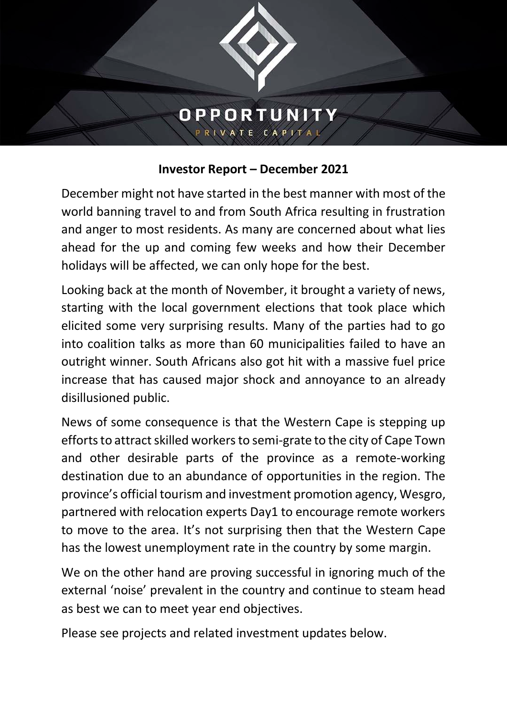

#### **Investor Report – December 2021**

December might not have started in the best manner with most of the world banning travel to and from South Africa resulting in frustration and anger to most residents. As many are concerned about what lies ahead for the up and coming few weeks and how their December holidays will be affected, we can only hope for the best.

Looking back at the month of November, it brought a variety of news, starting with the local government elections that took place which elicited some very surprising results. Many of the parties had to go into coalition talks as more than 60 municipalities failed to have an outright winner. South Africans also got hit with a massive fuel price increase that has caused major shock and annoyance to an already disillusioned public.

News of some consequence is that the Western Cape is stepping up efforts to attract skilled workers to semi-grate to the city of Cape Town and other desirable parts of the province as a remote-working destination due to an abundance of opportunities in the region. The province's official tourism and investment promotion agency, Wesgro, partnered with relocation experts Day1 to encourage remote workers to move to the area. It's not surprising then that the Western Cape has the lowest unemployment rate in the country by some margin.

We on the other hand are proving successful in ignoring much of the external 'noise' prevalent in the country and continue to steam head as best we can to meet year end objectives.

Please see projects and related investment updates below.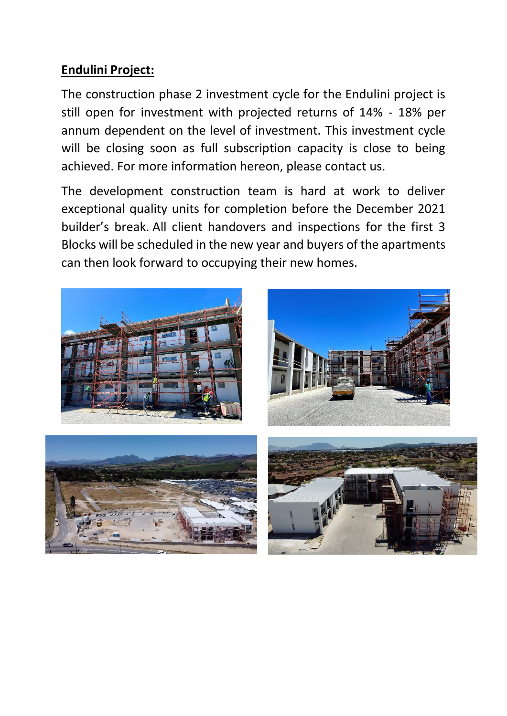## **Endulini Project:**

The construction phase 2 investment cycle for the Endulini project is still open for investment with projected returns of 14% - 18% per annum dependent on the level of investment. This investment cycle will be closing soon as full subscription capacity is close to being achieved. For more information hereon, please contact us.

The development construction team is hard at work to deliver exceptional quality units for completion before the December 2021 builder's break. All client handovers and inspections for the first 3 Blocks will be scheduled in the new year and buyers of the apartments can then look forward to occupying their new homes.

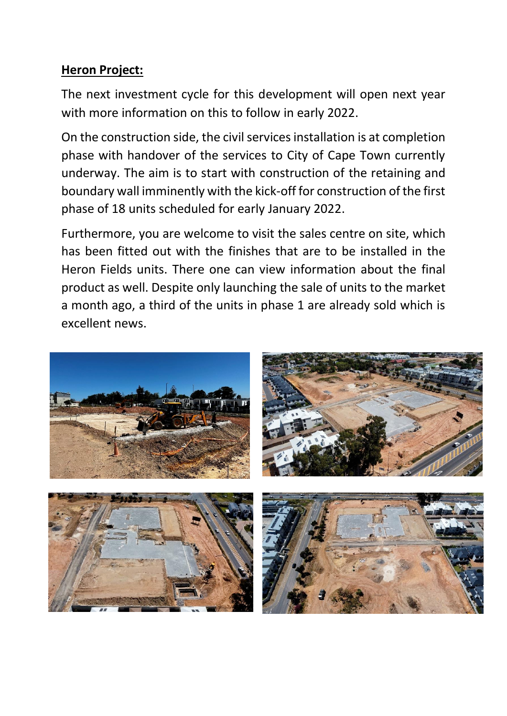## **Heron Project:**

The next investment cycle for this development will open next year with more information on this to follow in early 2022.

On the construction side, the civil services installation is at completion phase with handover of the services to City of Cape Town currently underway. The aim is to start with construction of the retaining and boundary wall imminently with the kick-off for construction of the first phase of 18 units scheduled for early January 2022.

Furthermore, you are welcome to visit the sales centre on site, which has been fitted out with the finishes that are to be installed in the Heron Fields units. There one can view information about the final product as well. Despite only launching the sale of units to the market a month ago, a third of the units in phase 1 are already sold which is excellent news.